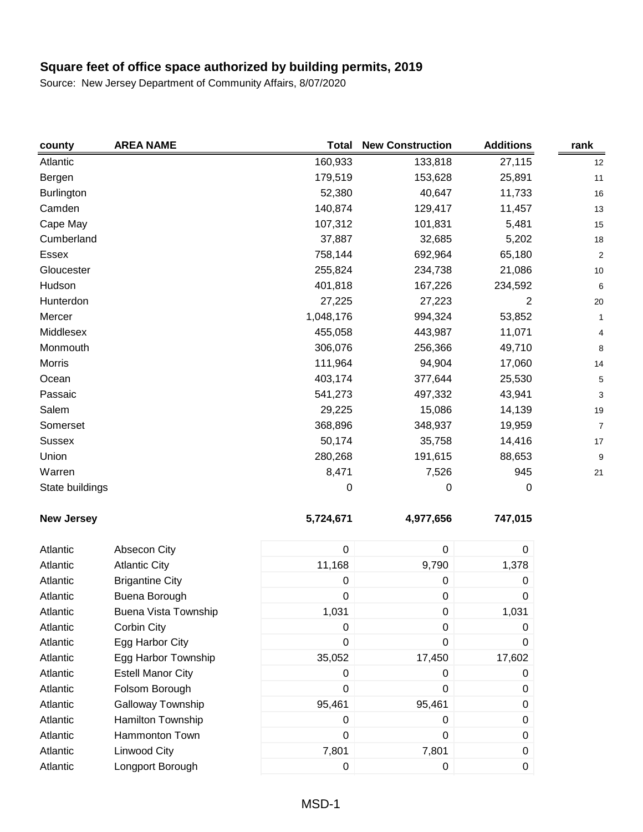| county            | <b>AREA NAME</b>            | <b>Total</b> | <b>New Construction</b> | <b>Additions</b> | rank           |
|-------------------|-----------------------------|--------------|-------------------------|------------------|----------------|
| Atlantic          |                             | 160,933      | 133,818                 | 27,115           | 12             |
| Bergen            |                             | 179,519      | 153,628                 | 25,891           | 11             |
| <b>Burlington</b> |                             | 52,380       | 40,647                  | 11,733           | 16             |
| Camden            |                             | 140,874      | 129,417                 | 11,457           | 13             |
| Cape May          |                             | 107,312      | 101,831                 | 5,481            | 15             |
| Cumberland        |                             | 37,887       | 32,685                  | 5,202            | 18             |
| Essex             |                             | 758,144      | 692,964                 | 65,180           | $\overline{c}$ |
| Gloucester        |                             | 255,824      | 234,738                 | 21,086           | 10             |
| Hudson            |                             | 401,818      | 167,226                 | 234,592          | 6              |
| Hunterdon         |                             | 27,225       | 27,223                  | 2                | 20             |
| Mercer            |                             | 1,048,176    | 994,324                 | 53,852           | $\mathbf{1}$   |
| Middlesex         |                             | 455,058      | 443,987                 | 11,071           | 4              |
| Monmouth          |                             | 306,076      | 256,366                 | 49,710           | 8              |
| <b>Morris</b>     |                             | 111,964      | 94,904                  | 17,060           | 14             |
| Ocean             |                             | 403,174      | 377,644                 | 25,530           | 5              |
| Passaic           |                             | 541,273      | 497,332                 | 43,941           | 3              |
| Salem             |                             | 29,225       | 15,086                  | 14,139           | 19             |
| Somerset          |                             | 368,896      | 348,937                 | 19,959           | $\overline{7}$ |
| <b>Sussex</b>     |                             | 50,174       | 35,758                  | 14,416           | 17             |
| Union             |                             | 280,268      | 191,615                 | 88,653           | 9              |
| Warren            |                             | 8,471        | 7,526                   | 945              | 21             |
| State buildings   |                             | 0            | $\pmb{0}$               | 0                |                |
| <b>New Jersey</b> |                             | 5,724,671    | 4,977,656               | 747,015          |                |
| Atlantic          | Absecon City                | $\pmb{0}$    | $\pmb{0}$               | 0                |                |
| Atlantic          | <b>Atlantic City</b>        | 11,168       | 9,790                   | 1,378            |                |
| Atlantic          | <b>Brigantine City</b>      | 0            | 0                       | 0                |                |
| Atlantic          | Buena Borough               | 0            | 0                       | 0                |                |
| Atlantic          | <b>Buena Vista Township</b> | 1,031        | 0                       | 1,031            |                |
| Atlantic          | Corbin City                 | 0            | 0                       | 0                |                |
| Atlantic          | Egg Harbor City             | 0            | 0                       | 0                |                |
| Atlantic          | Egg Harbor Township         | 35,052       | 17,450                  | 17,602           |                |
| Atlantic          | <b>Estell Manor City</b>    | 0            | 0                       | 0                |                |
| Atlantic          | Folsom Borough              | $\mathbf 0$  | 0                       | 0                |                |
| Atlantic          | Galloway Township           | 95,461       | 95,461                  | 0                |                |
| Atlantic          | Hamilton Township           | 0            | 0                       | 0                |                |
| Atlantic          | Hammonton Town              | 0            | 0                       | 0                |                |
| Atlantic          | <b>Linwood City</b>         | 7,801        | 7,801                   | 0                |                |
| Atlantic          | Longport Borough            | $\pmb{0}$    | $\pmb{0}$               | 0                |                |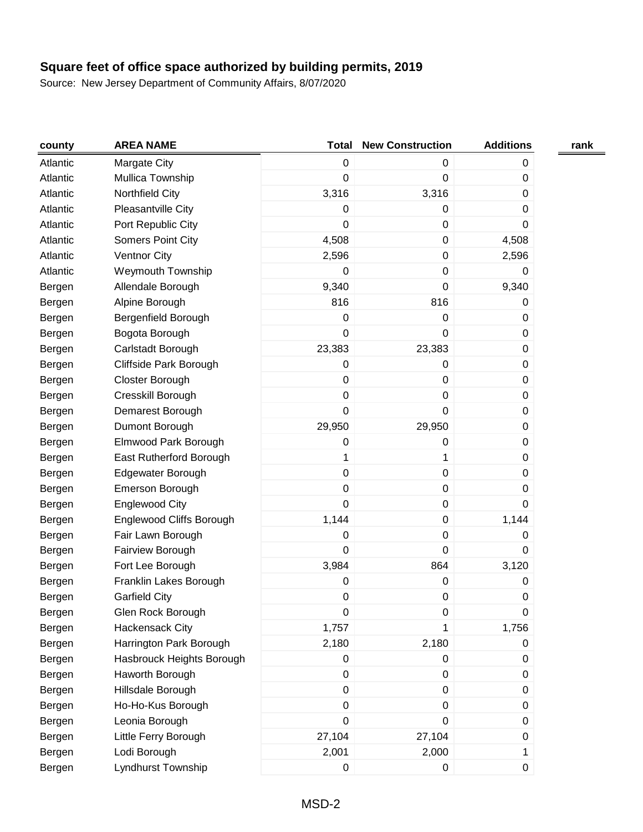| county   | <b>AREA NAME</b>          | <b>Total</b>     | <b>New Construction</b> | <b>Additions</b> | rank |
|----------|---------------------------|------------------|-------------------------|------------------|------|
| Atlantic | Margate City              | $\boldsymbol{0}$ | 0                       | 0                |      |
| Atlantic | Mullica Township          | $\boldsymbol{0}$ | $\mathbf 0$             | 0                |      |
| Atlantic | Northfield City           | 3,316            | 3,316                   | 0                |      |
| Atlantic | Pleasantville City        | 0                | 0                       | 0                |      |
| Atlantic | Port Republic City        | 0                | $\mathsf 0$             | 0                |      |
| Atlantic | Somers Point City         | 4,508            | $\mathsf 0$             | 4,508            |      |
| Atlantic | <b>Ventnor City</b>       | 2,596            | $\mathsf 0$             | 2,596            |      |
| Atlantic | <b>Weymouth Township</b>  | 0                | $\mathsf 0$             | 0                |      |
| Bergen   | Allendale Borough         | 9,340            | $\pmb{0}$               | 9,340            |      |
| Bergen   | Alpine Borough            | 816              | 816                     | 0                |      |
| Bergen   | Bergenfield Borough       | 0                | $\pmb{0}$               | 0                |      |
| Bergen   | Bogota Borough            | 0                | $\mathbf 0$             | 0                |      |
| Bergen   | Carlstadt Borough         | 23,383           | 23,383                  | 0                |      |
| Bergen   | Cliffside Park Borough    | 0                | 0                       | 0                |      |
| Bergen   | Closter Borough           | $\boldsymbol{0}$ | $\mathsf 0$             | 0                |      |
| Bergen   | Cresskill Borough         | 0                | $\mathbf 0$             | 0                |      |
| Bergen   | Demarest Borough          | 0                | $\mathbf 0$             | 0                |      |
| Bergen   | Dumont Borough            | 29,950           | 29,950                  | 0                |      |
| Bergen   | Elmwood Park Borough      | 0                | $\pmb{0}$               | 0                |      |
| Bergen   | East Rutherford Borough   | 1                | 1                       | 0                |      |
| Bergen   | Edgewater Borough         | 0                | $\pmb{0}$               | 0                |      |
| Bergen   | Emerson Borough           | 0                | $\pmb{0}$               | 0                |      |
| Bergen   | <b>Englewood City</b>     | 0                | $\mathsf 0$             | 0                |      |
| Bergen   | Englewood Cliffs Borough  | 1,144            | $\pmb{0}$               | 1,144            |      |
| Bergen   | Fair Lawn Borough         | 0                | $\mathsf 0$             | 0                |      |
| Bergen   | Fairview Borough          | 0                | $\mathbf 0$             | 0                |      |
| Bergen   | Fort Lee Borough          | 3,984            | 864                     | 3,120            |      |
| Bergen   | Franklin Lakes Borough    | 0                | $\pmb{0}$               | 0                |      |
| Bergen   | <b>Garfield City</b>      | 0                | $\pmb{0}$               | 0                |      |
| Bergen   | Glen Rock Borough         | $\pmb{0}$        | 0                       | 0                |      |
| Bergen   | Hackensack City           | 1,757            |                         | 1,756            |      |
| Bergen   | Harrington Park Borough   | 2,180            | 2,180                   | 0                |      |
| Bergen   | Hasbrouck Heights Borough | 0                | 0                       | 0                |      |
| Bergen   | Haworth Borough           | $\pmb{0}$        | $\mathsf 0$             | 0                |      |
| Bergen   | Hillsdale Borough         | $\pmb{0}$        | $\pmb{0}$               | 0                |      |
| Bergen   | Ho-Ho-Kus Borough         | 0                | 0                       | 0                |      |
| Bergen   | Leonia Borough            | $\boldsymbol{0}$ | $\pmb{0}$               | 0                |      |
| Bergen   | Little Ferry Borough      | 27,104           | 27,104                  | 0                |      |
| Bergen   | Lodi Borough              | 2,001            | 2,000                   | 1                |      |
| Bergen   | Lyndhurst Township        | $\pmb{0}$        | 0                       | 0                |      |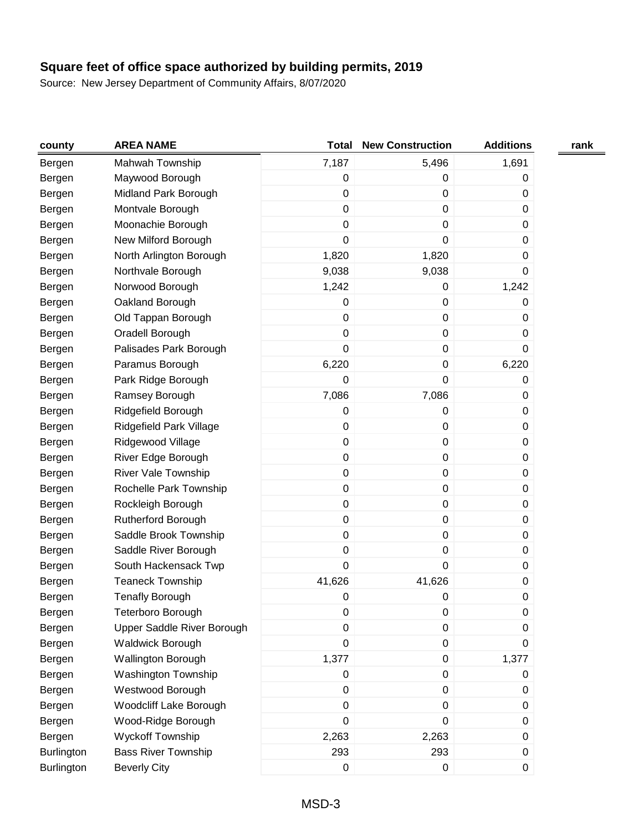| county            | <b>AREA NAME</b>           | <b>Total</b> | <b>New Construction</b> | <b>Additions</b> | rank |
|-------------------|----------------------------|--------------|-------------------------|------------------|------|
| Bergen            | Mahwah Township            | 7,187        | 5,496                   | 1,691            |      |
| Bergen            | Maywood Borough            | $\pmb{0}$    | 0                       | 0                |      |
| Bergen            | Midland Park Borough       | $\pmb{0}$    | $\pmb{0}$               | 0                |      |
| Bergen            | Montvale Borough           | $\pmb{0}$    | $\pmb{0}$               | 0                |      |
| Bergen            | Moonachie Borough          | 0            | $\pmb{0}$               | 0                |      |
| Bergen            | New Milford Borough        | 0            | $\pmb{0}$               | 0                |      |
| Bergen            | North Arlington Borough    | 1,820        | 1,820                   | 0                |      |
| Bergen            | Northvale Borough          | 9,038        | 9,038                   | 0                |      |
| Bergen            | Norwood Borough            | 1,242        | 0                       | 1,242            |      |
| Bergen            | Oakland Borough            | $\pmb{0}$    | $\pmb{0}$               | 0                |      |
| Bergen            | Old Tappan Borough         | 0            | $\mathbf 0$             | 0                |      |
| Bergen            | Oradell Borough            | $\pmb{0}$    | $\pmb{0}$               | 0                |      |
| Bergen            | Palisades Park Borough     | 0            | $\pmb{0}$               | 0                |      |
| Bergen            | Paramus Borough            | 6,220        | $\pmb{0}$               | 6,220            |      |
| Bergen            | Park Ridge Borough         | 0            | $\pmb{0}$               | 0                |      |
| Bergen            | Ramsey Borough             | 7,086        | 7,086                   | 0                |      |
| Bergen            | Ridgefield Borough         | 0            | $\pmb{0}$               | 0                |      |
| Bergen            | Ridgefield Park Village    | 0            | $\pmb{0}$               | 0                |      |
| Bergen            | Ridgewood Village          | 0            | $\pmb{0}$               | 0                |      |
| Bergen            | River Edge Borough         | 0            | $\pmb{0}$               | 0                |      |
| Bergen            | River Vale Township        | $\pmb{0}$    | $\pmb{0}$               | 0                |      |
| Bergen            | Rochelle Park Township     | 0            | $\pmb{0}$               | 0                |      |
| Bergen            | Rockleigh Borough          | $\pmb{0}$    | $\pmb{0}$               | 0                |      |
| Bergen            | Rutherford Borough         | 0            | $\mathbf 0$             | 0                |      |
| Bergen            | Saddle Brook Township      | $\pmb{0}$    | $\pmb{0}$               | 0                |      |
| Bergen            | Saddle River Borough       | 0            | $\pmb{0}$               | 0                |      |
| Bergen            | South Hackensack Twp       | 0            | $\mathbf 0$             | 0                |      |
| Bergen            | <b>Teaneck Township</b>    | 41,626       | 41,626                  | 0                |      |
| Bergen            | <b>Tenafly Borough</b>     | 0            | $\pmb{0}$               | $\mathsf 0$      |      |
| Bergen            | Teterboro Borough          | $\pmb{0}$    | 0                       | $\mathbf 0$      |      |
| Bergen            | Upper Saddle River Borough | 0            | 0                       | 0                |      |
| Bergen            | <b>Waldwick Borough</b>    | $\pmb{0}$    | $\pmb{0}$               | 0                |      |
| Bergen            | Wallington Borough         | 1,377        | 0                       | 1,377            |      |
| Bergen            | Washington Township        | $\pmb{0}$    | $\pmb{0}$               | 0                |      |
| Bergen            | Westwood Borough           | 0            | $\pmb{0}$               | 0                |      |
| Bergen            | Woodcliff Lake Borough     | $\pmb{0}$    | $\mathbf 0$             | 0                |      |
| Bergen            | Wood-Ridge Borough         | 0            | 0                       | 0                |      |
| Bergen            | Wyckoff Township           | 2,263        | 2,263                   | 0                |      |
| <b>Burlington</b> | <b>Bass River Township</b> | 293          | 293                     | 0                |      |
| Burlington        | <b>Beverly City</b>        | $\pmb{0}$    | $\mathbf 0$             | 0                |      |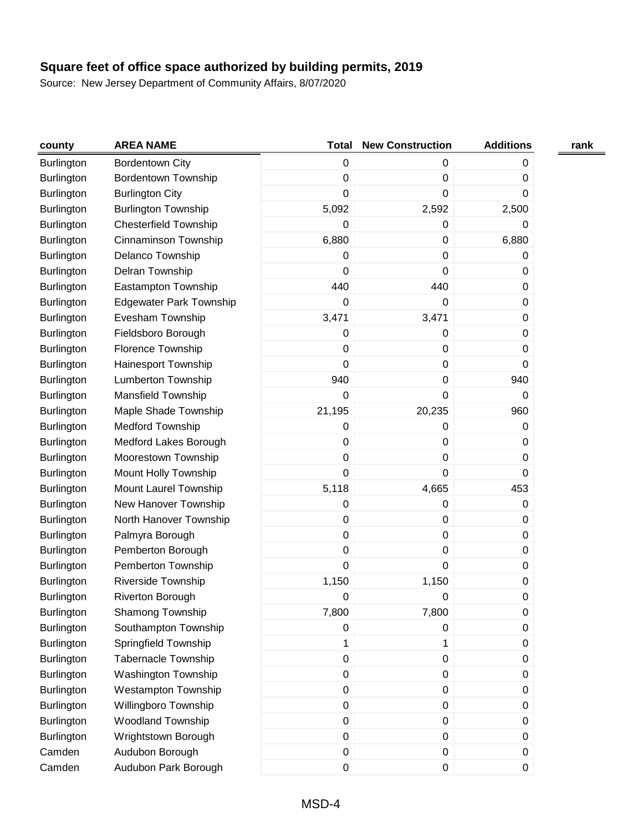| county            | <b>AREA NAME</b>               | <b>Total</b> | <b>New Construction</b> | <b>Additions</b> | rank |
|-------------------|--------------------------------|--------------|-------------------------|------------------|------|
| <b>Burlington</b> | <b>Bordentown City</b>         | $\pmb{0}$    | 0                       | 0                |      |
| <b>Burlington</b> | <b>Bordentown Township</b>     | $\pmb{0}$    | 0                       | 0                |      |
| <b>Burlington</b> | <b>Burlington City</b>         | 0            | 0                       | 0                |      |
| <b>Burlington</b> | <b>Burlington Township</b>     | 5,092        | 2,592                   | 2,500            |      |
| <b>Burlington</b> | <b>Chesterfield Township</b>   | 0            | 0                       | 0                |      |
| Burlington        | Cinnaminson Township           | 6,880        | $\boldsymbol{0}$        | 6,880            |      |
| <b>Burlington</b> | Delanco Township               | 0            | 0                       | 0                |      |
| <b>Burlington</b> | Delran Township                | 0            | 0                       | 0                |      |
| <b>Burlington</b> | Eastampton Township            | 440          | 440                     | 0                |      |
| <b>Burlington</b> | <b>Edgewater Park Township</b> | 0            | 0                       | 0                |      |
| <b>Burlington</b> | Evesham Township               | 3,471        | 3,471                   | 0                |      |
| <b>Burlington</b> | Fieldsboro Borough             | 0            | 0                       | 0                |      |
| Burlington        | Florence Township              | $\pmb{0}$    | 0                       | $\pmb{0}$        |      |
| Burlington        | Hainesport Township            | 0            | 0                       | 0                |      |
| <b>Burlington</b> | <b>Lumberton Township</b>      | 940          | 0                       | 940              |      |
| Burlington        | <b>Mansfield Township</b>      | 0            | 0                       | 0                |      |
| <b>Burlington</b> | Maple Shade Township           | 21,195       | 20,235                  | 960              |      |
| Burlington        | <b>Medford Township</b>        | 0            | 0                       | 0                |      |
| <b>Burlington</b> | <b>Medford Lakes Borough</b>   | 0            | 0                       | 0                |      |
| <b>Burlington</b> | Moorestown Township            | 0            | 0                       | 0                |      |
| <b>Burlington</b> | Mount Holly Township           | 0            | 0                       | $\mathbf 0$      |      |
| <b>Burlington</b> | Mount Laurel Township          | 5,118        | 4,665                   | 453              |      |
| <b>Burlington</b> | New Hanover Township           | 0            | 0                       | 0                |      |
| <b>Burlington</b> | North Hanover Township         | $\pmb{0}$    | 0                       | 0                |      |
| <b>Burlington</b> | Palmyra Borough                | $\pmb{0}$    | 0                       | 0                |      |
| Burlington        | Pemberton Borough              | $\pmb{0}$    | 0                       | $\mathbf 0$      |      |
| Burlington        | Pemberton Township             | 0            | 0                       | 0                |      |
| <b>Burlington</b> | <b>Riverside Township</b>      | 1,150        | 1,150                   | 0                |      |
| <b>Burlington</b> | <b>Riverton Borough</b>        | 0            | 0                       | 0                |      |
| <b>Burlington</b> | Shamong Township               | 7,800        | 7,800                   | $\mathbf 0$      |      |
| <b>Burlington</b> | Southampton Township           | 0            | 0                       | 0                |      |
| Burlington        | Springfield Township           | 1            | 1                       | 0                |      |
| Burlington        | <b>Tabernacle Township</b>     | $\pmb{0}$    | $\mathsf 0$             | 0                |      |
| <b>Burlington</b> | Washington Township            | $\pmb{0}$    | $\mathsf 0$             | 0                |      |
| <b>Burlington</b> | <b>Westampton Township</b>     | $\pmb{0}$    | 0                       | 0                |      |
| <b>Burlington</b> | Willingboro Township           | $\pmb{0}$    | $\mathsf 0$             | 0                |      |
| Burlington        | <b>Woodland Township</b>       | $\pmb{0}$    | 0                       | 0                |      |
| Burlington        | Wrightstown Borough            | $\pmb{0}$    | $\mathsf 0$             | 0                |      |
| Camden            | Audubon Borough                | $\pmb{0}$    | 0                       | 0                |      |
| Camden            | Audubon Park Borough           | $\pmb{0}$    | 0                       | 0                |      |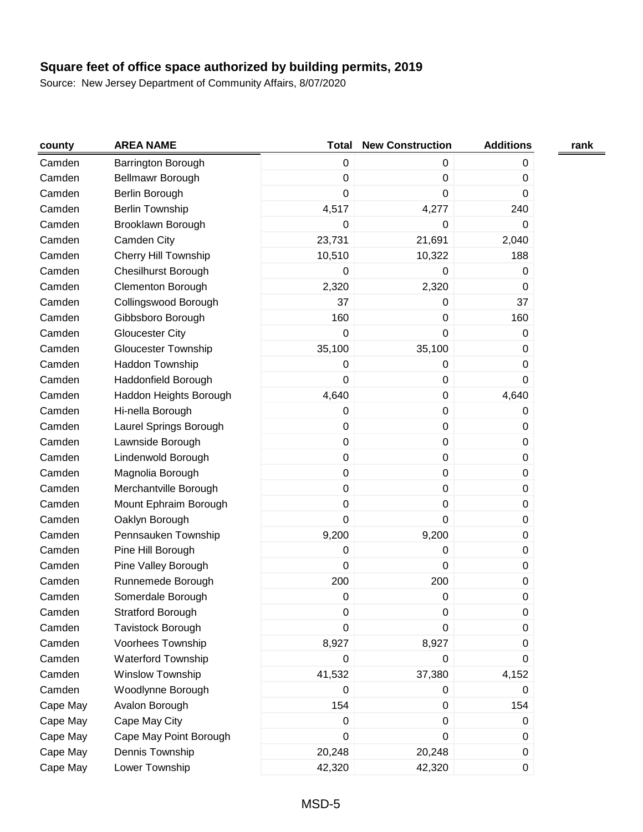| county   | <b>AREA NAME</b>            | <b>Total</b> | <b>New Construction</b> | <b>Additions</b> | rank |
|----------|-----------------------------|--------------|-------------------------|------------------|------|
| Camden   | Barrington Borough          | $\pmb{0}$    | 0                       | 0                |      |
| Camden   | Bellmawr Borough            | $\pmb{0}$    | $\mathbf 0$             | 0                |      |
| Camden   | Berlin Borough              | 0            | $\mathbf 0$             | 0                |      |
| Camden   | <b>Berlin Township</b>      | 4,517        | 4,277                   | 240              |      |
| Camden   | Brooklawn Borough           | 0            | $\boldsymbol{0}$        | 0                |      |
| Camden   | Camden City                 | 23,731       | 21,691                  | 2,040            |      |
| Camden   | <b>Cherry Hill Township</b> | 10,510       | 10,322                  | 188              |      |
| Camden   | Chesilhurst Borough         | 0            | 0                       | 0                |      |
| Camden   | <b>Clementon Borough</b>    | 2,320        | 2,320                   | 0                |      |
| Camden   | Collingswood Borough        | 37           | $\mathbf 0$             | 37               |      |
| Camden   | Gibbsboro Borough           | 160          | $\mathbf 0$             | 160              |      |
| Camden   | <b>Gloucester City</b>      | 0            | $\mathbf 0$             | 0                |      |
| Camden   | <b>Gloucester Township</b>  | 35,100       | 35,100                  | 0                |      |
| Camden   | Haddon Township             | 0            | $\pmb{0}$               | 0                |      |
| Camden   | Haddonfield Borough         | $\pmb{0}$    | $\pmb{0}$               | 0                |      |
| Camden   | Haddon Heights Borough      | 4,640        | $\pmb{0}$               | 4,640            |      |
| Camden   | Hi-nella Borough            | $\pmb{0}$    | $\boldsymbol{0}$        | 0                |      |
| Camden   | Laurel Springs Borough      | 0            | $\boldsymbol{0}$        | 0                |      |
| Camden   | Lawnside Borough            | $\pmb{0}$    | $\pmb{0}$               | 0                |      |
| Camden   | Lindenwold Borough          | $\pmb{0}$    | $\mathbf 0$             | 0                |      |
| Camden   | Magnolia Borough            | $\pmb{0}$    | $\mathbf 0$             | 0                |      |
| Camden   | Merchantville Borough       | $\pmb{0}$    | $\pmb{0}$               | 0                |      |
| Camden   | Mount Ephraim Borough       | $\pmb{0}$    | $\pmb{0}$               | 0                |      |
| Camden   | Oaklyn Borough              | $\mathbf 0$  | $\mathbf 0$             | 0                |      |
| Camden   | Pennsauken Township         | 9,200        | 9,200                   | 0                |      |
| Camden   | Pine Hill Borough           | $\pmb{0}$    | $\pmb{0}$               | $\pmb{0}$        |      |
| Camden   | Pine Valley Borough         | 0            | $\mathbf 0$             | 0                |      |
| Camden   | Runnemede Borough           | 200          | 200                     | 0                |      |
| Camden   | Somerdale Borough           | 0            | $\boldsymbol{0}$        | 0                |      |
| Camden   | Stratford Borough           | 0            | 0                       | 0                |      |
| Camden   | Tavistock Borough           | 0            | 0                       | 0                |      |
| Camden   | Voorhees Township           | 8,927        | 8,927                   | 0                |      |
| Camden   | Waterford Township          | 0            | $\pmb{0}$               | 0                |      |
| Camden   | Winslow Township            | 41,532       | 37,380                  | 4,152            |      |
| Camden   | Woodlynne Borough           | 0            | 0                       | 0                |      |
| Cape May | Avalon Borough              | 154          | 0                       | 154              |      |
| Cape May | Cape May City               | $\pmb{0}$    | $\mathbf 0$             | 0                |      |
| Cape May | Cape May Point Borough      | 0            | $\boldsymbol{0}$        | 0                |      |
| Cape May | Dennis Township             | 20,248       | 20,248                  | 0                |      |
| Cape May | Lower Township              | 42,320       | 42,320                  | 0                |      |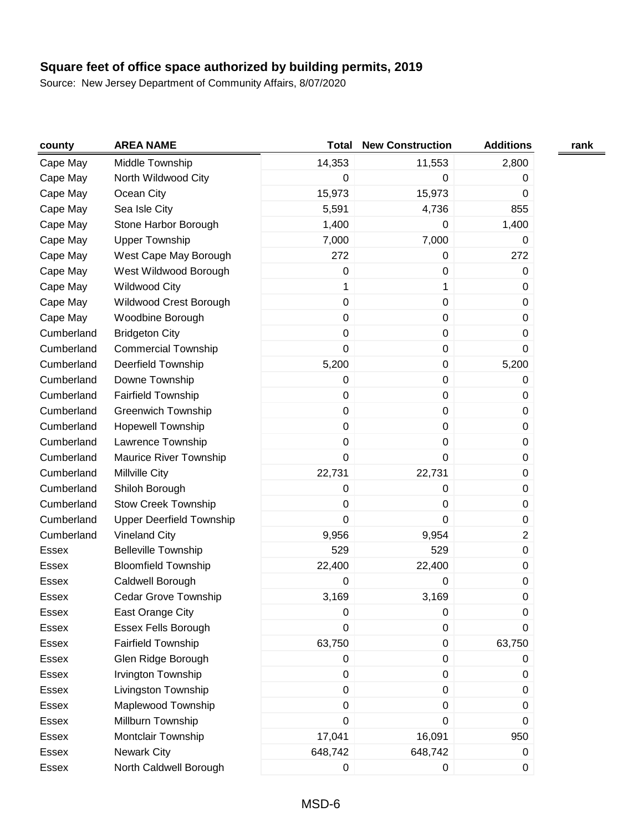| county       | <b>AREA NAME</b>                | <b>Total</b>     | <b>New Construction</b> | <b>Additions</b> | rank |
|--------------|---------------------------------|------------------|-------------------------|------------------|------|
| Cape May     | Middle Township                 | 14,353           | 11,553                  | 2,800            |      |
| Cape May     | North Wildwood City             | 0                | 0                       | 0                |      |
| Cape May     | Ocean City                      | 15,973           | 15,973                  | $\mathbf 0$      |      |
| Cape May     | Sea Isle City                   | 5,591            | 4,736                   | 855              |      |
| Cape May     | Stone Harbor Borough            | 1,400            | 0                       | 1,400            |      |
| Cape May     | <b>Upper Township</b>           | 7,000            | 7,000                   | 0                |      |
| Cape May     | West Cape May Borough           | 272              | 0                       | 272              |      |
| Cape May     | West Wildwood Borough           | 0                | $\pmb{0}$               | 0                |      |
| Cape May     | <b>Wildwood City</b>            | 1                | 1                       | 0                |      |
| Cape May     | Wildwood Crest Borough          | $\boldsymbol{0}$ | $\mathbf 0$             | 0                |      |
| Cape May     | Woodbine Borough                | 0                | $\mathbf 0$             | 0                |      |
| Cumberland   | <b>Bridgeton City</b>           | $\boldsymbol{0}$ | $\pmb{0}$               | 0                |      |
| Cumberland   | <b>Commercial Township</b>      | 0                | $\pmb{0}$               | 0                |      |
| Cumberland   | Deerfield Township              | 5,200            | $\pmb{0}$               | 5,200            |      |
| Cumberland   | Downe Township                  | 0                | $\pmb{0}$               | 0                |      |
| Cumberland   | <b>Fairfield Township</b>       | 0                | $\pmb{0}$               | $\pmb{0}$        |      |
| Cumberland   | <b>Greenwich Township</b>       | 0                | $\pmb{0}$               | $\pmb{0}$        |      |
| Cumberland   | <b>Hopewell Township</b>        | $\boldsymbol{0}$ | $\pmb{0}$               | 0                |      |
| Cumberland   | Lawrence Township               | 0                | $\pmb{0}$               | 0                |      |
| Cumberland   | Maurice River Township          | 0                | 0                       | 0                |      |
| Cumberland   | Millville City                  | 22,731           | 22,731                  | $\pmb{0}$        |      |
| Cumberland   | Shiloh Borough                  | 0                | $\pmb{0}$               | 0                |      |
| Cumberland   | Stow Creek Township             | 0                | $\mathbf 0$             | 0                |      |
| Cumberland   | <b>Upper Deerfield Township</b> | 0                | 0                       | 0                |      |
| Cumberland   | <b>Vineland City</b>            | 9,956            | 9,954                   | $\overline{2}$   |      |
| <b>Essex</b> | <b>Belleville Township</b>      | 529              | 529                     | 0                |      |
| <b>Essex</b> | <b>Bloomfield Township</b>      | 22,400           | 22,400                  | 0                |      |
| <b>Essex</b> | Caldwell Borough                | 0                | 0                       | 0                |      |
| <b>Essex</b> | <b>Cedar Grove Township</b>     | 3,169            | 3,169                   | 0                |      |
| <b>Essex</b> | East Orange City                | $\pmb{0}$        | $\pmb{0}$               | 0                |      |
| Essex        | <b>Essex Fells Borough</b>      | 0                | 0                       | 0                |      |
| Essex        | <b>Fairfield Township</b>       | 63,750           | $\pmb{0}$               | 63,750           |      |
| Essex        | Glen Ridge Borough              | $\pmb{0}$        | $\pmb{0}$               | 0                |      |
| Essex        | Irvington Township              | $\pmb{0}$        | $\pmb{0}$               | 0                |      |
| Essex        | Livingston Township             | $\boldsymbol{0}$ | $\mathbf 0$             | 0                |      |
| Essex        | Maplewood Township              | 0                | $\mathbf 0$             | 0                |      |
| Essex        | Millburn Township               | 0                | 0                       | 0                |      |
| Essex        | Montclair Township              | 17,041           | 16,091                  | 950              |      |
| Essex        | <b>Newark City</b>              | 648,742          | 648,742                 | 0                |      |
| Essex        | North Caldwell Borough          | 0                | 0                       | 0                |      |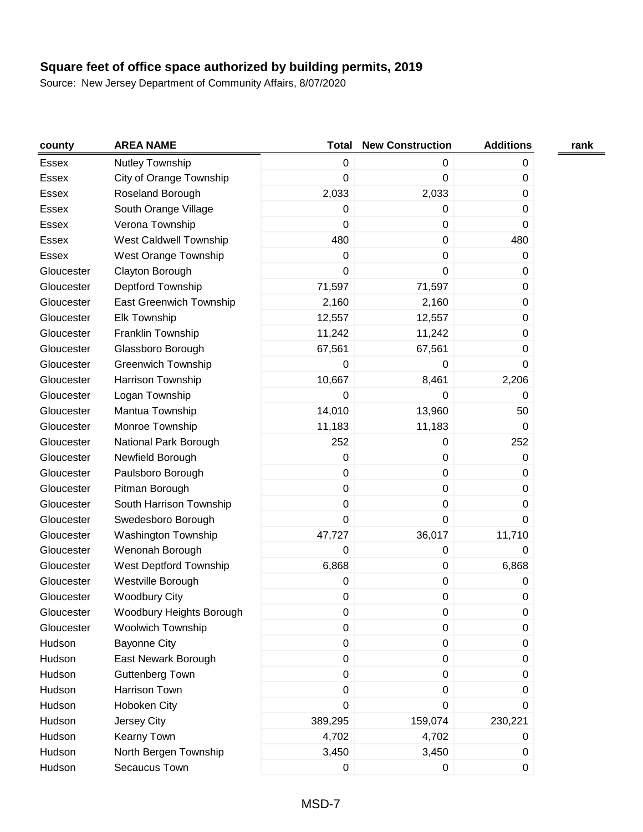| county       | <b>AREA NAME</b>              | <b>Total</b>     | <b>New Construction</b> | <b>Additions</b> | rank |
|--------------|-------------------------------|------------------|-------------------------|------------------|------|
| Essex        | Nutley Township               | $\pmb{0}$        | 0                       | 0                |      |
| Essex        | City of Orange Township       | 0                | $\pmb{0}$               | 0                |      |
| Essex        | Roseland Borough              | 2,033            | 2,033                   | 0                |      |
| <b>Essex</b> | South Orange Village          | 0                | 0                       | 0                |      |
| <b>Essex</b> | Verona Township               | 0                | $\mathbf 0$             | 0                |      |
| <b>Essex</b> | <b>West Caldwell Township</b> | 480              | 0                       | 480              |      |
| <b>Essex</b> | West Orange Township          | 0                | 0                       | 0                |      |
| Gloucester   | Clayton Borough               | 0                | 0                       | 0                |      |
| Gloucester   | Deptford Township             | 71,597           | 71,597                  | 0                |      |
| Gloucester   | East Greenwich Township       | 2,160            | 2,160                   | 0                |      |
| Gloucester   | <b>Elk Township</b>           | 12,557           | 12,557                  | 0                |      |
| Gloucester   | Franklin Township             | 11,242           | 11,242                  | 0                |      |
| Gloucester   | Glassboro Borough             | 67,561           | 67,561                  | 0                |      |
| Gloucester   | <b>Greenwich Township</b>     | 0                | 0                       | 0                |      |
| Gloucester   | Harrison Township             | 10,667           | 8,461                   | 2,206            |      |
| Gloucester   | Logan Township                | 0                | $\Omega$                | 0                |      |
| Gloucester   | Mantua Township               | 14,010           | 13,960                  | 50               |      |
| Gloucester   | Monroe Township               | 11,183           | 11,183                  | 0                |      |
| Gloucester   | National Park Borough         | 252              | $\pmb{0}$               | 252              |      |
| Gloucester   | Newfield Borough              | 0                | $\mathbf 0$             | 0                |      |
| Gloucester   | Paulsboro Borough             | 0                | $\pmb{0}$               | 0                |      |
| Gloucester   | Pitman Borough                | $\pmb{0}$        | $\mathbf 0$             | 0                |      |
| Gloucester   | South Harrison Township       | 0                | $\mathbf 0$             | 0                |      |
| Gloucester   | Swedesboro Borough            | $\mathbf 0$      | 0                       | 0                |      |
| Gloucester   | Washington Township           | 47,727           | 36,017                  | 11,710           |      |
| Gloucester   | Wenonah Borough               | 0                | $\pmb{0}$               | 0                |      |
| Gloucester   | West Deptford Township        | 6,868            | $\pmb{0}$               | 6,868            |      |
| Gloucester   | Westville Borough             | 0                | $\pmb{0}$               | 0                |      |
| Gloucester   | <b>Woodbury City</b>          | 0                | 0                       | 0                |      |
| Gloucester   | Woodbury Heights Borough      | 0                | 0                       | $\pmb{0}$        |      |
| Gloucester   | <b>Woolwich Township</b>      | 0                | 0                       | 0                |      |
| Hudson       | <b>Bayonne City</b>           | $\pmb{0}$        | $\pmb{0}$               | 0                |      |
| Hudson       | East Newark Borough           | $\boldsymbol{0}$ | $\pmb{0}$               | 0                |      |
| Hudson       | <b>Guttenberg Town</b>        | $\pmb{0}$        | $\pmb{0}$               | 0                |      |
| Hudson       | Harrison Town                 | $\pmb{0}$        | 0                       | 0                |      |
| Hudson       | Hoboken City                  | 0                | 0                       | 0                |      |
| Hudson       | Jersey City                   | 389,295          | 159,074                 | 230,221          |      |
| Hudson       | Kearny Town                   | 4,702            | 4,702                   | 0                |      |
| Hudson       | North Bergen Township         | 3,450            | 3,450                   | 0                |      |
| Hudson       | Secaucus Town                 | 0                | 0                       | 0                |      |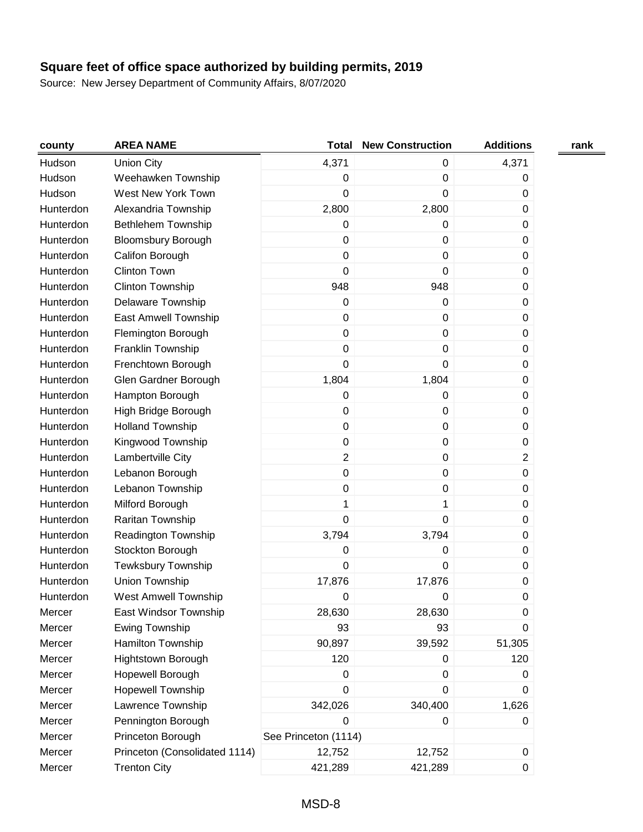| county    | <b>AREA NAME</b>              | <b>Total</b>         | <b>New Construction</b> | <b>Additions</b> | rank |
|-----------|-------------------------------|----------------------|-------------------------|------------------|------|
| Hudson    | <b>Union City</b>             | 4,371                | $\boldsymbol{0}$        | 4,371            |      |
| Hudson    | Weehawken Township            | $\pmb{0}$            | $\boldsymbol{0}$        | 0                |      |
| Hudson    | West New York Town            | 0                    | $\mathbf 0$             | 0                |      |
| Hunterdon | Alexandria Township           | 2,800                | 2,800                   | 0                |      |
| Hunterdon | Bethlehem Township            | 0                    | $\boldsymbol{0}$        | 0                |      |
| Hunterdon | <b>Bloomsbury Borough</b>     | 0                    | $\mathbf 0$             | 0                |      |
| Hunterdon | Califon Borough               | 0                    | 0                       | 0                |      |
| Hunterdon | <b>Clinton Town</b>           | 0                    | $\mathbf 0$             | 0                |      |
| Hunterdon | Clinton Township              | 948                  | 948                     | 0                |      |
| Hunterdon | Delaware Township             | 0                    | $\boldsymbol{0}$        | 0                |      |
| Hunterdon | East Amwell Township          | $\pmb{0}$            | $\mathbf 0$             | 0                |      |
| Hunterdon | Flemington Borough            | $\pmb{0}$            | $\mathbf 0$             | 0                |      |
| Hunterdon | Franklin Township             | $\pmb{0}$            | $\boldsymbol{0}$        | 0                |      |
| Hunterdon | Frenchtown Borough            | 0                    | $\mathbf 0$             | 0                |      |
| Hunterdon | Glen Gardner Borough          | 1,804                | 1,804                   | 0                |      |
| Hunterdon | Hampton Borough               | 0                    | 0                       | 0                |      |
| Hunterdon | High Bridge Borough           | 0                    | $\mathbf 0$             | 0                |      |
| Hunterdon | <b>Holland Township</b>       | 0                    | $\mathbf 0$             | 0                |      |
| Hunterdon | Kingwood Township             | 0                    | $\mathbf 0$             | 0                |      |
| Hunterdon | Lambertville City             | $\overline{2}$       | $\mathbf 0$             | $\overline{2}$   |      |
| Hunterdon | Lebanon Borough               | $\pmb{0}$            | $\mathbf 0$             | 0                |      |
| Hunterdon | Lebanon Township              | 0                    | $\boldsymbol{0}$        | 0                |      |
| Hunterdon | Milford Borough               | 1                    | 1                       | 0                |      |
| Hunterdon | Raritan Township              | $\mathbf 0$          | $\mathbf 0$             | 0                |      |
| Hunterdon | Readington Township           | 3,794                | 3,794                   | 0                |      |
| Hunterdon | Stockton Borough              | 0                    | $\boldsymbol{0}$        | $\pmb{0}$        |      |
| Hunterdon | <b>Tewksbury Township</b>     | 0                    | $\mathbf 0$             | 0                |      |
| Hunterdon | Union Township                | 17,876               | 17,876                  | 0                |      |
| Hunterdon | <b>West Amwell Township</b>   | 0                    | 0                       | 0                |      |
| Mercer    | East Windsor Township         | 28,630               | 28,630                  | 0                |      |
| Mercer    | Ewing Township                | 93                   | 93                      | 0                |      |
| Mercer    | Hamilton Township             | 90,897               | 39,592                  | 51,305           |      |
| Mercer    | <b>Hightstown Borough</b>     | 120                  | $\mathbf 0$             | 120              |      |
| Mercer    | Hopewell Borough              | 0                    | $\boldsymbol{0}$        | 0                |      |
| Mercer    | <b>Hopewell Township</b>      | 0                    | $\boldsymbol{0}$        | 0                |      |
| Mercer    | Lawrence Township             | 342,026              | 340,400                 | 1,626            |      |
| Mercer    | Pennington Borough            | 0                    | 0                       | 0                |      |
| Mercer    | Princeton Borough             | See Princeton (1114) |                         |                  |      |
| Mercer    | Princeton (Consolidated 1114) | 12,752               | 12,752                  | 0                |      |
| Mercer    | <b>Trenton City</b>           | 421,289              | 421,289                 | 0                |      |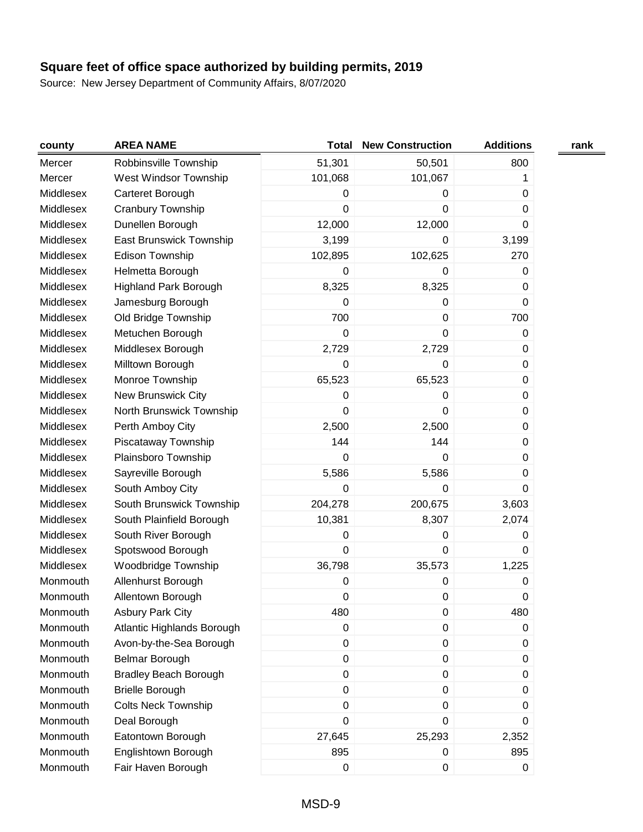| county    | <b>AREA NAME</b>             | <b>Total</b>     | <b>New Construction</b> | <b>Additions</b> | rank |
|-----------|------------------------------|------------------|-------------------------|------------------|------|
| Mercer    | Robbinsville Township        | 51,301           | 50,501                  | 800              |      |
| Mercer    | West Windsor Township        | 101,068          | 101,067                 | 1                |      |
| Middlesex | Carteret Borough             | 0                | 0                       | 0                |      |
| Middlesex | Cranbury Township            | $\boldsymbol{0}$ | 0                       | 0                |      |
| Middlesex | Dunellen Borough             | 12,000           | 12,000                  | 0                |      |
| Middlesex | East Brunswick Township      | 3,199            | 0                       | 3,199            |      |
| Middlesex | Edison Township              | 102,895          | 102,625                 | 270              |      |
| Middlesex | Helmetta Borough             | $\boldsymbol{0}$ | 0                       | 0                |      |
| Middlesex | <b>Highland Park Borough</b> | 8,325            | 8,325                   | 0                |      |
| Middlesex | Jamesburg Borough            | $\mathbf 0$      | 0                       | $\mathbf 0$      |      |
| Middlesex | Old Bridge Township          | 700              | 0                       | 700              |      |
| Middlesex | Metuchen Borough             | 0                | 0                       | 0                |      |
| Middlesex | Middlesex Borough            | 2,729            | 2,729                   | 0                |      |
| Middlesex | Milltown Borough             | $\mathbf 0$      | 0                       | 0                |      |
| Middlesex | Monroe Township              | 65,523           | 65,523                  | 0                |      |
| Middlesex | New Brunswick City           | $\boldsymbol{0}$ | 0                       | 0                |      |
| Middlesex | North Brunswick Township     | $\boldsymbol{0}$ | 0                       | 0                |      |
| Middlesex | Perth Amboy City             | 2,500            | 2,500                   | 0                |      |
| Middlesex | Piscataway Township          | 144              | 144                     | 0                |      |
| Middlesex | Plainsboro Township          | 0                | $\Omega$                | 0                |      |
| Middlesex | Sayreville Borough           | 5,586            | 5,586                   | 0                |      |
| Middlesex | South Amboy City             | $\mathbf 0$      | 0                       | 0                |      |
| Middlesex | South Brunswick Township     | 204,278          | 200,675                 | 3,603            |      |
| Middlesex | South Plainfield Borough     | 10,381           | 8,307                   | 2,074            |      |
| Middlesex | South River Borough          | $\boldsymbol{0}$ | 0                       | 0                |      |
| Middlesex | Spotswood Borough            | $\mathbf 0$      | 0                       | 0                |      |
| Middlesex | Woodbridge Township          | 36,798           | 35,573                  | 1,225            |      |
| Monmouth  | Allenhurst Borough           | $\pmb{0}$        | 0                       | 0                |      |
| Monmouth  | Allentown Borough            | $\boldsymbol{0}$ | 0                       | 0                |      |
| Monmouth  | <b>Asbury Park City</b>      | 480              | 0                       | 480              |      |
| Monmouth  | Atlantic Highlands Borough   | 0                | 0                       | 0                |      |
| Monmouth  | Avon-by-the-Sea Borough      | $\boldsymbol{0}$ | $\pmb{0}$               | 0                |      |
| Monmouth  | Belmar Borough               | $\boldsymbol{0}$ | $\pmb{0}$               | 0                |      |
| Monmouth  | <b>Bradley Beach Borough</b> | $\boldsymbol{0}$ | $\pmb{0}$               | 0                |      |
| Monmouth  | <b>Brielle Borough</b>       | $\boldsymbol{0}$ | $\boldsymbol{0}$        | 0                |      |
| Monmouth  | <b>Colts Neck Township</b>   | $\boldsymbol{0}$ | 0                       | 0                |      |
| Monmouth  | Deal Borough                 | $\boldsymbol{0}$ | 0                       | 0                |      |
| Monmouth  | Eatontown Borough            | 27,645           | 25,293                  | 2,352            |      |
| Monmouth  | Englishtown Borough          | 895              | 0                       | 895              |      |
| Monmouth  | Fair Haven Borough           | $\pmb{0}$        | $\pmb{0}$               | $\pmb{0}$        |      |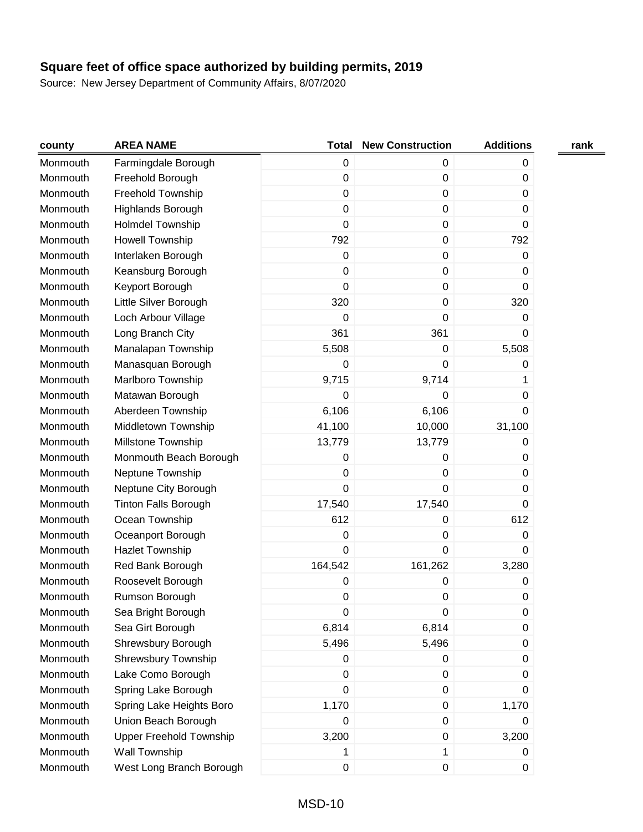| county   | <b>AREA NAME</b>               | <b>Total</b> | <b>New Construction</b> | <b>Additions</b> | rank |
|----------|--------------------------------|--------------|-------------------------|------------------|------|
| Monmouth | Farmingdale Borough            | $\pmb{0}$    | 0                       | 0                |      |
| Monmouth | Freehold Borough               | 0            | $\pmb{0}$               | 0                |      |
| Monmouth | Freehold Township              | 0            | $\mathbf 0$             | 0                |      |
| Monmouth | <b>Highlands Borough</b>       | 0            | $\mathbf 0$             | 0                |      |
| Monmouth | <b>Holmdel Township</b>        | 0            | $\pmb{0}$               | 0                |      |
| Monmouth | Howell Township                | 792          | $\pmb{0}$               | 792              |      |
| Monmouth | Interlaken Borough             | 0            | $\pmb{0}$               | 0                |      |
| Monmouth | Keansburg Borough              | 0            | $\pmb{0}$               | 0                |      |
| Monmouth | Keyport Borough                | $\mathbf 0$  | $\pmb{0}$               | 0                |      |
| Monmouth | Little Silver Borough          | 320          | $\pmb{0}$               | 320              |      |
| Monmouth | Loch Arbour Village            | $\mathbf 0$  | 0                       | 0                |      |
| Monmouth | Long Branch City               | 361          | 361                     | 0                |      |
| Monmouth | Manalapan Township             | 5,508        | $\pmb{0}$               | 5,508            |      |
| Monmouth | Manasquan Borough              | 0            | 0                       | 0                |      |
| Monmouth | Marlboro Township              | 9,715        | 9,714                   | 1                |      |
| Monmouth | Matawan Borough                | 0            | 0                       | 0                |      |
| Monmouth | Aberdeen Township              | 6,106        | 6,106                   | 0                |      |
| Monmouth | Middletown Township            | 41,100       | 10,000                  | 31,100           |      |
| Monmouth | Millstone Township             | 13,779       | 13,779                  | 0                |      |
| Monmouth | Monmouth Beach Borough         | 0            | 0                       | 0                |      |
| Monmouth | Neptune Township               | 0            | $\pmb{0}$               | 0                |      |
| Monmouth | Neptune City Borough           | $\mathbf 0$  | 0                       | 0                |      |
| Monmouth | <b>Tinton Falls Borough</b>    | 17,540       | 17,540                  | 0                |      |
| Monmouth | Ocean Township                 | 612          | 0                       | 612              |      |
| Monmouth | Oceanport Borough              | 0            | 0                       | 0                |      |
| Monmouth | <b>Hazlet Township</b>         | $\mathbf 0$  | 0                       | 0                |      |
| Monmouth | Red Bank Borough               | 164,542      | 161,262                 | 3,280            |      |
| Monmouth | Roosevelt Borough              | 0            | 0                       | 0                |      |
| Monmouth | Rumson Borough                 | 0            | 0                       | 0                |      |
| Monmouth | Sea Bright Borough             | 0            | 0                       | 0                |      |
| Monmouth | Sea Girt Borough               | 6,814        | 6,814                   | 0                |      |
| Monmouth | Shrewsbury Borough             | 5,496        | 5,496                   | 0                |      |
| Monmouth | Shrewsbury Township            | 0            | 0                       | 0                |      |
| Monmouth | Lake Como Borough              | $\pmb{0}$    | $\pmb{0}$               | 0                |      |
| Monmouth | Spring Lake Borough            | 0            | $\pmb{0}$               | 0                |      |
| Monmouth | Spring Lake Heights Boro       | 1,170        | 0                       | 1,170            |      |
| Monmouth | Union Beach Borough            | 0            | $\pmb{0}$               | 0                |      |
| Monmouth | <b>Upper Freehold Township</b> | 3,200        | $\pmb{0}$               | 3,200            |      |
| Monmouth | Wall Township                  | 1            | 1                       | 0                |      |
| Monmouth | West Long Branch Borough       | 0            | $\pmb{0}$               | 0                |      |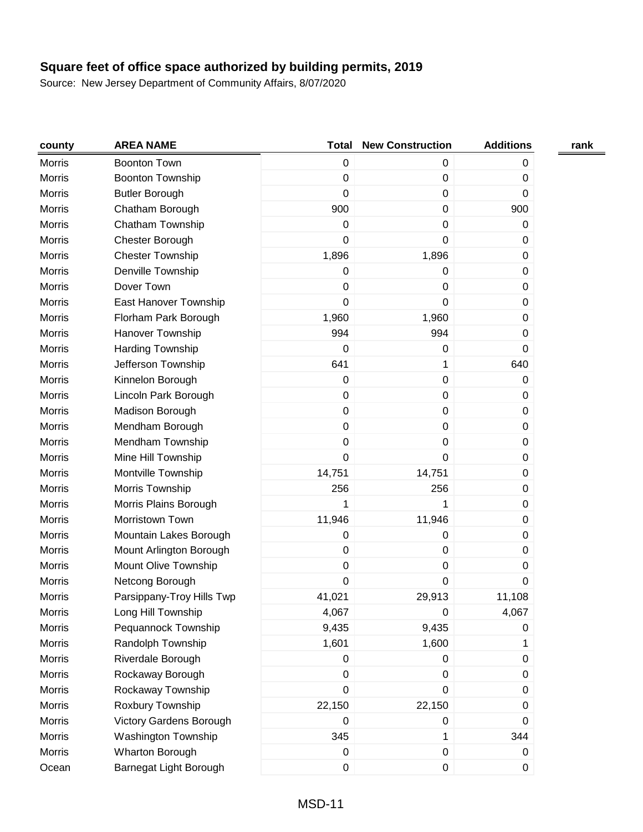| county        | <b>AREA NAME</b>           | <b>Total</b>     | <b>New Construction</b> | <b>Additions</b> | rank |
|---------------|----------------------------|------------------|-------------------------|------------------|------|
| <b>Morris</b> | <b>Boonton Town</b>        | $\boldsymbol{0}$ | 0                       | 0                |      |
| Morris        | <b>Boonton Township</b>    | $\boldsymbol{0}$ | $\pmb{0}$               | 0                |      |
| <b>Morris</b> | <b>Butler Borough</b>      | $\mathbf 0$      | 0                       | 0                |      |
| Morris        | Chatham Borough            | 900              | 0                       | 900              |      |
| <b>Morris</b> | Chatham Township           | 0                | 0                       | 0                |      |
| Morris        | Chester Borough            | $\mathbf 0$      | 0                       | 0                |      |
| <b>Morris</b> | <b>Chester Township</b>    | 1,896            | 1,896                   | 0                |      |
| <b>Morris</b> | Denville Township          | $\pmb{0}$        | 0                       | $\pmb{0}$        |      |
| <b>Morris</b> | Dover Town                 | $\pmb{0}$        | 0                       | 0                |      |
| <b>Morris</b> | East Hanover Township      | 0                | 0                       | $\pmb{0}$        |      |
| <b>Morris</b> | Florham Park Borough       | 1,960            | 1,960                   | 0                |      |
| <b>Morris</b> | Hanover Township           | 994              | 994                     | 0                |      |
| Morris        | Harding Township           | $\mathbf 0$      | 0                       | $\mathbf 0$      |      |
| <b>Morris</b> | Jefferson Township         | 641              | 1                       | 640              |      |
| Morris        | Kinnelon Borough           | $\boldsymbol{0}$ | $\pmb{0}$               | 0                |      |
| <b>Morris</b> | Lincoln Park Borough       | $\boldsymbol{0}$ | 0                       | 0                |      |
| Morris        | Madison Borough            | $\boldsymbol{0}$ | 0                       | $\pmb{0}$        |      |
| <b>Morris</b> | Mendham Borough            | $\boldsymbol{0}$ | 0                       | 0                |      |
| Morris        | Mendham Township           | $\boldsymbol{0}$ | $\pmb{0}$               | 0                |      |
| <b>Morris</b> | Mine Hill Township         | $\boldsymbol{0}$ | 0                       | 0                |      |
| Morris        | Montville Township         | 14,751           | 14,751                  | $\pmb{0}$        |      |
| <b>Morris</b> | Morris Township            | 256              | 256                     | $\mathbf 0$      |      |
| <b>Morris</b> | Morris Plains Borough      | 1                | 1                       | $\pmb{0}$        |      |
| <b>Morris</b> | Morristown Town            | 11,946           | 11,946                  | 0                |      |
| <b>Morris</b> | Mountain Lakes Borough     | 0                | 0                       | 0                |      |
| Morris        | Mount Arlington Borough    | $\pmb{0}$        | $\pmb{0}$               | $\pmb{0}$        |      |
| <b>Morris</b> | Mount Olive Township       | $\mathbf 0$      | $\pmb{0}$               | 0                |      |
| Morris        | Netcong Borough            | $\mathbf 0$      | 0                       | $\mathbf 0$      |      |
| Morris        | Parsippany-Troy Hills Twp  | 41,021           | 29,913                  | 11,108           |      |
| <b>Morris</b> | Long Hill Township         | 4,067            | 0                       | 4,067            |      |
| <b>Morris</b> | Pequannock Township        | 9,435            | 9,435                   | 0                |      |
| <b>Morris</b> | Randolph Township          | 1,601            | 1,600                   | 1                |      |
| <b>Morris</b> | Riverdale Borough          | $\pmb{0}$        | 0                       | $\pmb{0}$        |      |
| <b>Morris</b> | Rockaway Borough           | $\pmb{0}$        | $\pmb{0}$               | 0                |      |
| <b>Morris</b> | Rockaway Township          | $\pmb{0}$        | 0                       | 0                |      |
| <b>Morris</b> | Roxbury Township           | 22,150           | 22,150                  | 0                |      |
| <b>Morris</b> | Victory Gardens Borough    | $\pmb{0}$        | 0                       | 0                |      |
| <b>Morris</b> | <b>Washington Township</b> | 345              | 1                       | 344              |      |
| <b>Morris</b> | Wharton Borough            | 0                | $\pmb{0}$               | 0                |      |
| Ocean         | Barnegat Light Borough     | $\pmb{0}$        | 0                       | $\mathbf 0$      |      |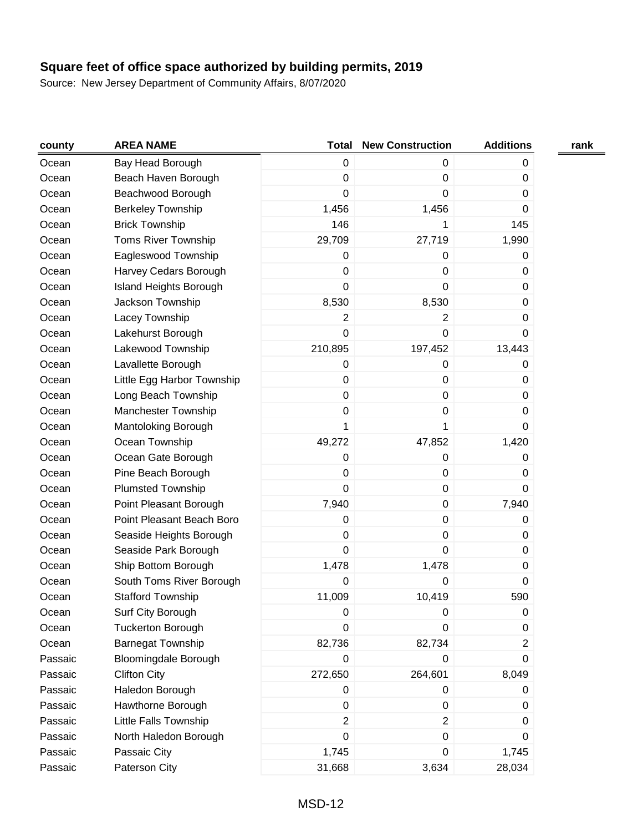| county  | <b>AREA NAME</b>              | <b>Total</b>     | <b>New Construction</b> | <b>Additions</b> | rank |
|---------|-------------------------------|------------------|-------------------------|------------------|------|
| Ocean   | Bay Head Borough              | $\pmb{0}$        | 0                       | 0                |      |
| Ocean   | Beach Haven Borough           | $\pmb{0}$        | 0                       | 0                |      |
| Ocean   | Beachwood Borough             | 0                | 0                       | 0                |      |
| Ocean   | <b>Berkeley Township</b>      | 1,456            | 1,456                   | $\mathbf 0$      |      |
| Ocean   | <b>Brick Township</b>         | 146              | 1                       | 145              |      |
| Ocean   | Toms River Township           | 29,709           | 27,719                  | 1,990            |      |
| Ocean   | Eagleswood Township           | 0                | 0                       | 0                |      |
| Ocean   | Harvey Cedars Borough         | $\boldsymbol{0}$ | 0                       | 0                |      |
| Ocean   | <b>Island Heights Borough</b> | 0                | 0                       | 0                |      |
| Ocean   | Jackson Township              | 8,530            | 8,530                   | 0                |      |
| Ocean   | Lacey Township                | 2                | $\overline{2}$          | 0                |      |
| Ocean   | Lakehurst Borough             | 0                | 0                       | 0                |      |
| Ocean   | Lakewood Township             | 210,895          | 197,452                 | 13,443           |      |
| Ocean   | Lavallette Borough            | $\pmb{0}$        | 0                       | 0                |      |
| Ocean   | Little Egg Harbor Township    | $\pmb{0}$        | 0                       | 0                |      |
| Ocean   | Long Beach Township           | $\pmb{0}$        | 0                       | 0                |      |
| Ocean   | Manchester Township           | 0                | 0                       | 0                |      |
| Ocean   | Mantoloking Borough           | 1                | 1                       | 0                |      |
| Ocean   | Ocean Township                | 49,272           | 47,852                  | 1,420            |      |
| Ocean   | Ocean Gate Borough            | 0                | 0                       | 0                |      |
| Ocean   | Pine Beach Borough            | $\boldsymbol{0}$ | 0                       | 0                |      |
| Ocean   | Plumsted Township             | 0                | 0                       | 0                |      |
| Ocean   | Point Pleasant Borough        | 7,940            | 0                       | 7,940            |      |
| Ocean   | Point Pleasant Beach Boro     | 0                | 0                       | 0                |      |
| Ocean   | Seaside Heights Borough       | $\boldsymbol{0}$ | $\pmb{0}$               | 0                |      |
| Ocean   | Seaside Park Borough          | 0                | $\pmb{0}$               | 0                |      |
| Ocean   | Ship Bottom Borough           | 1,478            | 1,478                   | 0                |      |
| Ocean   | South Toms River Borough      | 0                | 0                       | 0                |      |
| Ocean   | <b>Stafford Township</b>      | 11,009           | 10,419                  | 590              |      |
| Ocean   | Surf City Borough             | $\pmb{0}$        | 0                       | 0                |      |
| Ocean   | <b>Tuckerton Borough</b>      | 0                | 0                       | 0                |      |
| Ocean   | <b>Barnegat Township</b>      | 82,736           | 82,734                  | 2                |      |
| Passaic | <b>Bloomingdale Borough</b>   | 0                | 0                       | 0                |      |
| Passaic | <b>Clifton City</b>           | 272,650          | 264,601                 | 8,049            |      |
| Passaic | Haledon Borough               | 0                | 0                       | 0                |      |
| Passaic | Hawthorne Borough             | $\pmb{0}$        | 0                       | 0                |      |
| Passaic | Little Falls Township         | $\overline{c}$   | $\overline{2}$          | 0                |      |
| Passaic | North Haledon Borough         | $\pmb{0}$        | $\pmb{0}$               | 0                |      |
| Passaic | Passaic City                  | 1,745            | 0                       | 1,745            |      |
| Passaic | Paterson City                 | 31,668           | 3,634                   | 28,034           |      |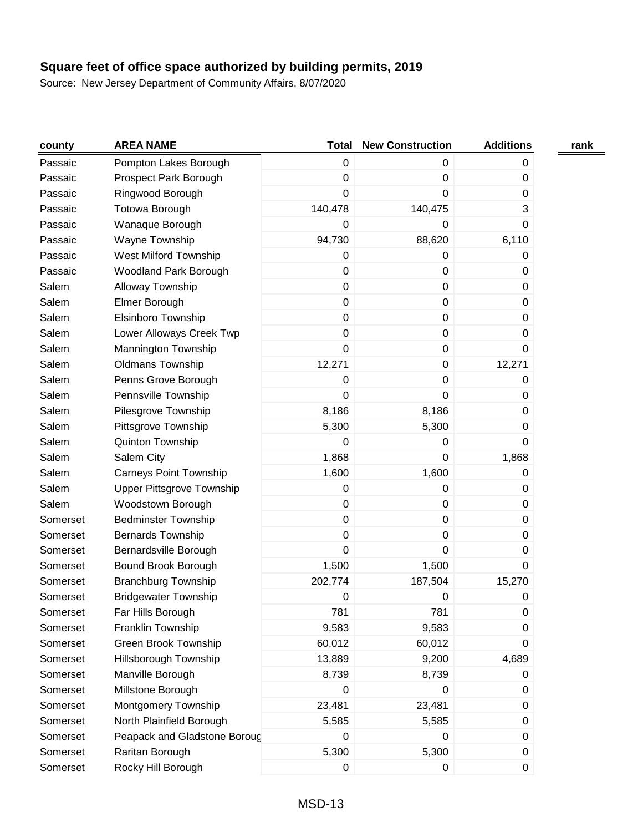| county   | <b>AREA NAME</b>              | <b>Total</b>     | <b>New Construction</b> | <b>Additions</b> | rank |
|----------|-------------------------------|------------------|-------------------------|------------------|------|
| Passaic  | Pompton Lakes Borough         | $\boldsymbol{0}$ | $\mathbf 0$             | 0                |      |
| Passaic  | Prospect Park Borough         | $\boldsymbol{0}$ | $\mathbf 0$             | 0                |      |
| Passaic  | Ringwood Borough              | 0                | 0                       | 0                |      |
| Passaic  | Totowa Borough                | 140,478          | 140,475                 | 3                |      |
| Passaic  | Wanaque Borough               | 0                | $\mathbf 0$             | 0                |      |
| Passaic  | Wayne Township                | 94,730           | 88,620                  | 6,110            |      |
| Passaic  | West Milford Township         | 0                | 0                       | 0                |      |
| Passaic  | Woodland Park Borough         | 0                | $\mathbf 0$             | 0                |      |
| Salem    | Alloway Township              | 0                | $\pmb{0}$               | 0                |      |
| Salem    | Elmer Borough                 | $\boldsymbol{0}$ | $\pmb{0}$               | 0                |      |
| Salem    | Elsinboro Township            | 0                | $\pmb{0}$               | 0                |      |
| Salem    | Lower Alloways Creek Twp      | 0                | $\pmb{0}$               | 0                |      |
| Salem    | Mannington Township           | 0                | $\pmb{0}$               | $\pmb{0}$        |      |
| Salem    | <b>Oldmans Township</b>       | 12,271           | $\pmb{0}$               | 12,271           |      |
| Salem    | Penns Grove Borough           | 0                | $\boldsymbol{0}$        | 0                |      |
| Salem    | Pennsville Township           | 0                | $\mathbf 0$             | 0                |      |
| Salem    | Pilesgrove Township           | 8,186            | 8,186                   | 0                |      |
| Salem    | Pittsgrove Township           | 5,300            | 5,300                   | 0                |      |
| Salem    | Quinton Township              | 0                | $\mathbf 0$             | 0                |      |
| Salem    | Salem City                    | 1,868            | $\mathbf 0$             | 1,868            |      |
| Salem    | <b>Carneys Point Township</b> | 1,600            | 1,600                   | 0                |      |
| Salem    | Upper Pittsgrove Township     | 0                | $\mathbf 0$             | 0                |      |
| Salem    | Woodstown Borough             | $\boldsymbol{0}$ | $\pmb{0}$               | 0                |      |
| Somerset | <b>Bedminster Township</b>    | 0                | $\pmb{0}$               | 0                |      |
| Somerset | Bernards Township             | 0                | $\mathbf 0$             | 0                |      |
| Somerset | Bernardsville Borough         | $\boldsymbol{0}$ | $\mathbf 0$             | 0                |      |
| Somerset | Bound Brook Borough           | 1,500            | 1,500                   | 0                |      |
| Somerset | <b>Branchburg Township</b>    | 202,774          | 187,504                 | 15,270           |      |
| Somerset | <b>Bridgewater Township</b>   | 0                | 0                       | 0                |      |
| Somerset | Far Hills Borough             | 781              | 781                     | 0                |      |
| Somerset | Franklin Township             | 9,583            | 9,583                   | 0                |      |
| Somerset | Green Brook Township          | 60,012           | 60,012                  | 0                |      |
| Somerset | Hillsborough Township         | 13,889           | 9,200                   | 4,689            |      |
| Somerset | Manville Borough              | 8,739            | 8,739                   | 0                |      |
| Somerset | Millstone Borough             | $\pmb{0}$        | 0                       | 0                |      |
| Somerset | Montgomery Township           | 23,481           | 23,481                  | 0                |      |
| Somerset | North Plainfield Borough      | 5,585            | 5,585                   | 0                |      |
| Somerset | Peapack and Gladstone Boroug  | 0                | $\boldsymbol{0}$        | 0                |      |
| Somerset | Raritan Borough               | 5,300            | 5,300                   | 0                |      |
| Somerset | Rocky Hill Borough            | $\pmb{0}$        | 0                       | 0                |      |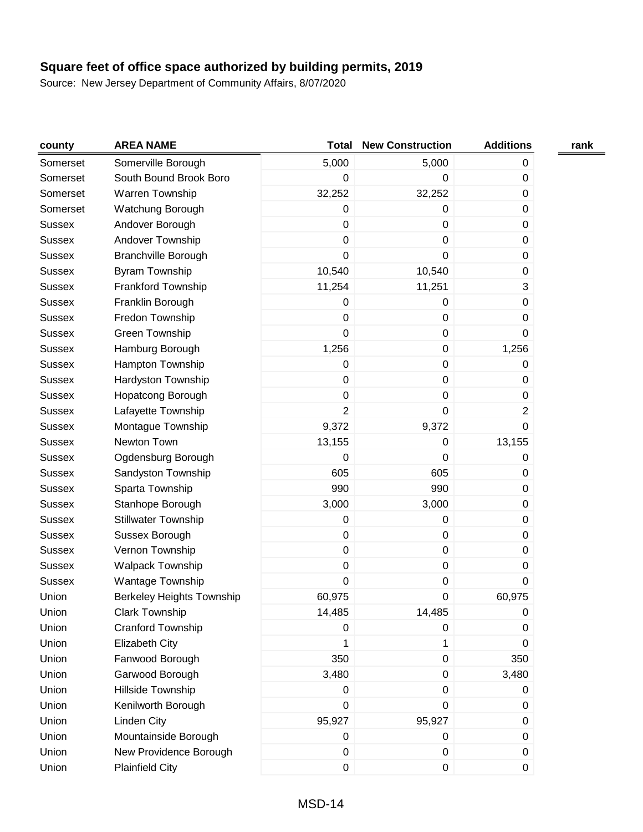| county        | <b>AREA NAME</b>                 | <b>Total</b>   | <b>New Construction</b> | <b>Additions</b> | rank |
|---------------|----------------------------------|----------------|-------------------------|------------------|------|
| Somerset      | Somerville Borough               | 5,000          | 5,000                   | 0                |      |
| Somerset      | South Bound Brook Boro           | 0              | 0                       | 0                |      |
| Somerset      | Warren Township                  | 32,252         | 32,252                  | 0                |      |
| Somerset      | Watchung Borough                 | 0              | 0                       | $\pmb{0}$        |      |
| <b>Sussex</b> | Andover Borough                  | $\pmb{0}$      | $\pmb{0}$               | $\pmb{0}$        |      |
| <b>Sussex</b> | Andover Township                 | 0              | $\pmb{0}$               | 0                |      |
| <b>Sussex</b> | <b>Branchville Borough</b>       | 0              | $\mathbf 0$             | 0                |      |
| <b>Sussex</b> | Byram Township                   | 10,540         | 10,540                  | $\pmb{0}$        |      |
| <b>Sussex</b> | Frankford Township               | 11,254         | 11,251                  | 3                |      |
| <b>Sussex</b> | Franklin Borough                 | 0              | $\pmb{0}$               | 0                |      |
| <b>Sussex</b> | Fredon Township                  | 0              | $\mathbf 0$             | 0                |      |
| <b>Sussex</b> | Green Township                   | 0              | $\pmb{0}$               | 0                |      |
| Sussex        | Hamburg Borough                  | 1,256          | $\pmb{0}$               | 1,256            |      |
| <b>Sussex</b> | Hampton Township                 | $\pmb{0}$      | $\pmb{0}$               | 0                |      |
| <b>Sussex</b> | Hardyston Township               | 0              | $\pmb{0}$               | 0                |      |
| <b>Sussex</b> | Hopatcong Borough                | 0              | $\pmb{0}$               | $\pmb{0}$        |      |
| <b>Sussex</b> | Lafayette Township               | $\overline{2}$ | $\pmb{0}$               | $\overline{2}$   |      |
| <b>Sussex</b> | Montague Township                | 9,372          | 9,372                   | $\mathbf 0$      |      |
| <b>Sussex</b> | Newton Town                      | 13,155         | $\pmb{0}$               | 13,155           |      |
| <b>Sussex</b> | Ogdensburg Borough               | 0              | $\mathbf 0$             | 0                |      |
| <b>Sussex</b> | Sandyston Township               | 605            | 605                     | $\pmb{0}$        |      |
| <b>Sussex</b> | Sparta Township                  | 990            | 990                     | 0                |      |
| <b>Sussex</b> | Stanhope Borough                 | 3,000          | 3,000                   | 0                |      |
| <b>Sussex</b> | <b>Stillwater Township</b>       | 0              | 0                       | 0                |      |
| <b>Sussex</b> | Sussex Borough                   | $\pmb{0}$      | $\pmb{0}$               | 0                |      |
| Sussex        | Vernon Township                  | 0              | $\pmb{0}$               | 0                |      |
| <b>Sussex</b> | <b>Walpack Township</b>          | 0              | $\pmb{0}$               | 0                |      |
| <b>Sussex</b> | Wantage Township                 | 0              | $\pmb{0}$               | $\pmb{0}$        |      |
| Union         | <b>Berkeley Heights Township</b> | 60,975         | $\pmb{0}$               | 60,975           |      |
| Union         | <b>Clark Township</b>            | 14,485         | 14,485                  | 0                |      |
| Union         | Cranford Township                | 0              | 0                       | 0                |      |
| Union         | <b>Elizabeth City</b>            | 1              | 1                       | 0                |      |
| Union         | Fanwood Borough                  | 350            | $\pmb{0}$               | 350              |      |
| Union         | Garwood Borough                  | 3,480          | $\pmb{0}$               | 3,480            |      |
| Union         | Hillside Township                | 0              | $\mathbf 0$             | 0                |      |
| Union         | Kenilworth Borough               | 0              | $\mathbf 0$             | 0                |      |
| Union         | Linden City                      | 95,927         | 95,927                  | 0                |      |
| Union         | Mountainside Borough             | 0              | 0                       | 0                |      |
| Union         | New Providence Borough           | 0              | 0                       | 0                |      |
| Union         | <b>Plainfield City</b>           | $\pmb{0}$      | $\pmb{0}$               | 0                |      |